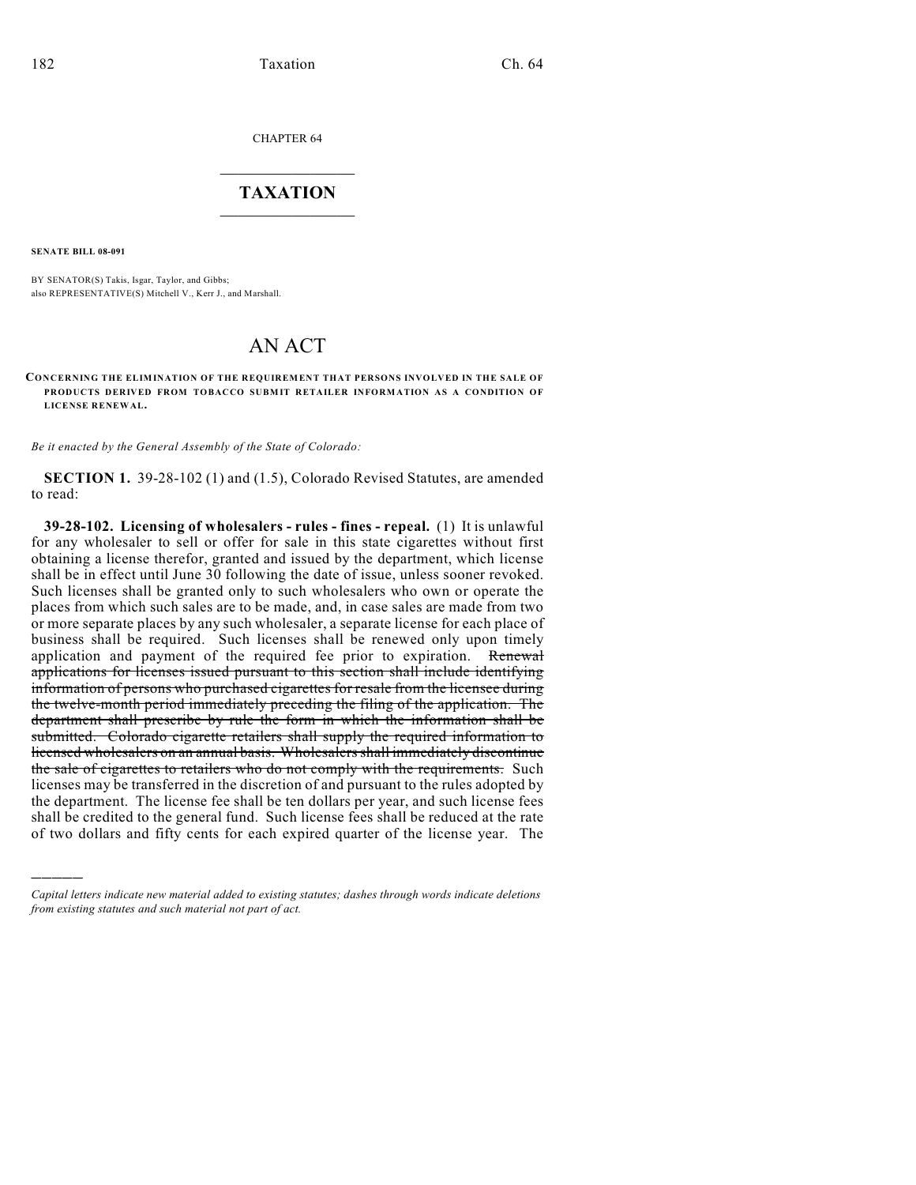CHAPTER 64

## $\overline{\phantom{a}}$  . The set of the set of the set of the set of the set of the set of the set of the set of the set of the set of the set of the set of the set of the set of the set of the set of the set of the set of the set o **TAXATION**  $\_$

**SENATE BILL 08-091**

)))))

BY SENATOR(S) Takis, Isgar, Taylor, and Gibbs; also REPRESENTATIVE(S) Mitchell V., Kerr J., and Marshall.

# AN ACT

CONCERNING THE ELIMINATION OF THE REQUIREMENT THAT PERSONS INVOLVED IN THE SALE OF **PRODUCTS DERIVED FROM TOBACCO SUBMIT RETAILER INFORMATION AS A CONDITION OF LICENSE RENEWAL.**

*Be it enacted by the General Assembly of the State of Colorado:*

**SECTION 1.** 39-28-102 (1) and (1.5), Colorado Revised Statutes, are amended to read:

**39-28-102. Licensing of wholesalers - rules - fines - repeal.** (1) It is unlawful for any wholesaler to sell or offer for sale in this state cigarettes without first obtaining a license therefor, granted and issued by the department, which license shall be in effect until June 30 following the date of issue, unless sooner revoked. Such licenses shall be granted only to such wholesalers who own or operate the places from which such sales are to be made, and, in case sales are made from two or more separate places by any such wholesaler, a separate license for each place of business shall be required. Such licenses shall be renewed only upon timely application and payment of the required fee prior to expiration. Renewal applications for licenses issued pursuant to this section shall include identifying information of persons who purchased cigarettes for resale from the licensee during the twelve-month period immediately preceding the filing of the application. The department shall prescribe by rule the form in which the information shall be submitted. Colorado cigarette retailers shall supply the required information to licensed wholesalers on an annual basis. Wholesalers shall immediately discontinue the sale of cigarettes to retailers who do not comply with the requirements. Such licenses may be transferred in the discretion of and pursuant to the rules adopted by the department. The license fee shall be ten dollars per year, and such license fees shall be credited to the general fund. Such license fees shall be reduced at the rate of two dollars and fifty cents for each expired quarter of the license year. The

*Capital letters indicate new material added to existing statutes; dashes through words indicate deletions from existing statutes and such material not part of act.*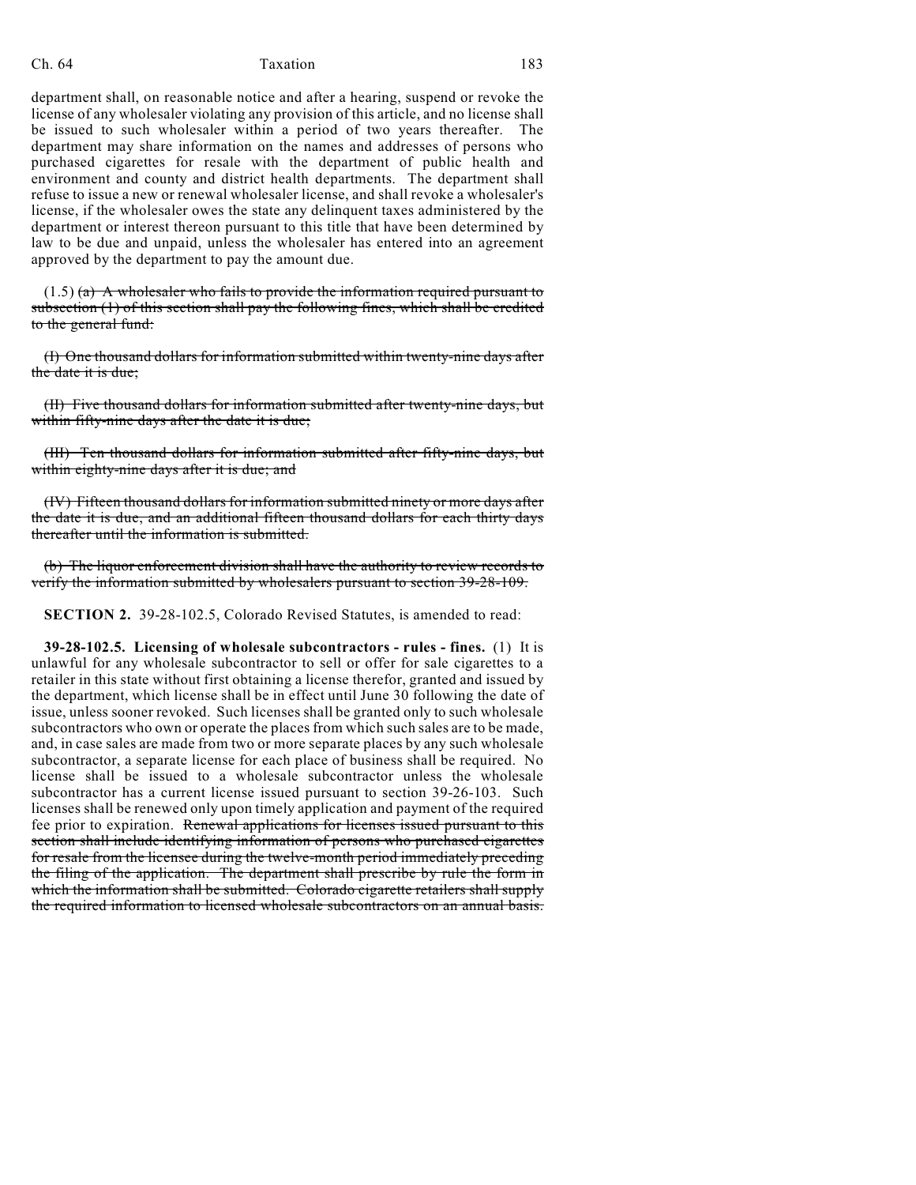#### Ch. 64 Taxation 183

department shall, on reasonable notice and after a hearing, suspend or revoke the license of any wholesaler violating any provision of this article, and no license shall be issued to such wholesaler within a period of two years thereafter. The department may share information on the names and addresses of persons who purchased cigarettes for resale with the department of public health and environment and county and district health departments. The department shall refuse to issue a new or renewal wholesaler license, and shall revoke a wholesaler's license, if the wholesaler owes the state any delinquent taxes administered by the department or interest thereon pursuant to this title that have been determined by law to be due and unpaid, unless the wholesaler has entered into an agreement approved by the department to pay the amount due.

 $(1.5)$  (a) A wholesaler who fails to provide the information required pursuant to subsection (1) of this section shall pay the following fines, which shall be credited to the general fund:

(I) One thousand dollars for information submitted within twenty-nine days after the date it is due;

(II) Five thousand dollars for information submitted after twenty-nine days, but within fifty-nine days after the date it is due;

(III) Ten thousand dollars for information submitted after fifty-nine days, but within eighty-nine days after it is due; and

(IV) Fifteen thousand dollars for information submitted ninety or more days after the date it is due, and an additional fifteen thousand dollars for each thirty days thereafter until the information is submitted.

(b) The liquor enforcement division shall have the authority to review records to verify the information submitted by wholesalers pursuant to section 39-28-109.

**SECTION 2.** 39-28-102.5, Colorado Revised Statutes, is amended to read:

**39-28-102.5. Licensing of wholesale subcontractors - rules - fines.** (1) It is unlawful for any wholesale subcontractor to sell or offer for sale cigarettes to a retailer in this state without first obtaining a license therefor, granted and issued by the department, which license shall be in effect until June 30 following the date of issue, unless sooner revoked. Such licenses shall be granted only to such wholesale subcontractors who own or operate the places from which such sales are to be made, and, in case sales are made from two or more separate places by any such wholesale subcontractor, a separate license for each place of business shall be required. No license shall be issued to a wholesale subcontractor unless the wholesale subcontractor has a current license issued pursuant to section 39-26-103. Such licenses shall be renewed only upon timely application and payment of the required fee prior to expiration. Renewal applications for licenses issued pursuant to this section shall include identifying information of persons who purchased cigarettes for resale from the licensee during the twelve-month period immediately preceding the filing of the application. The department shall prescribe by rule the form in which the information shall be submitted. Colorado cigarette retailers shall supply the required information to licensed wholesale subcontractors on an annual basis.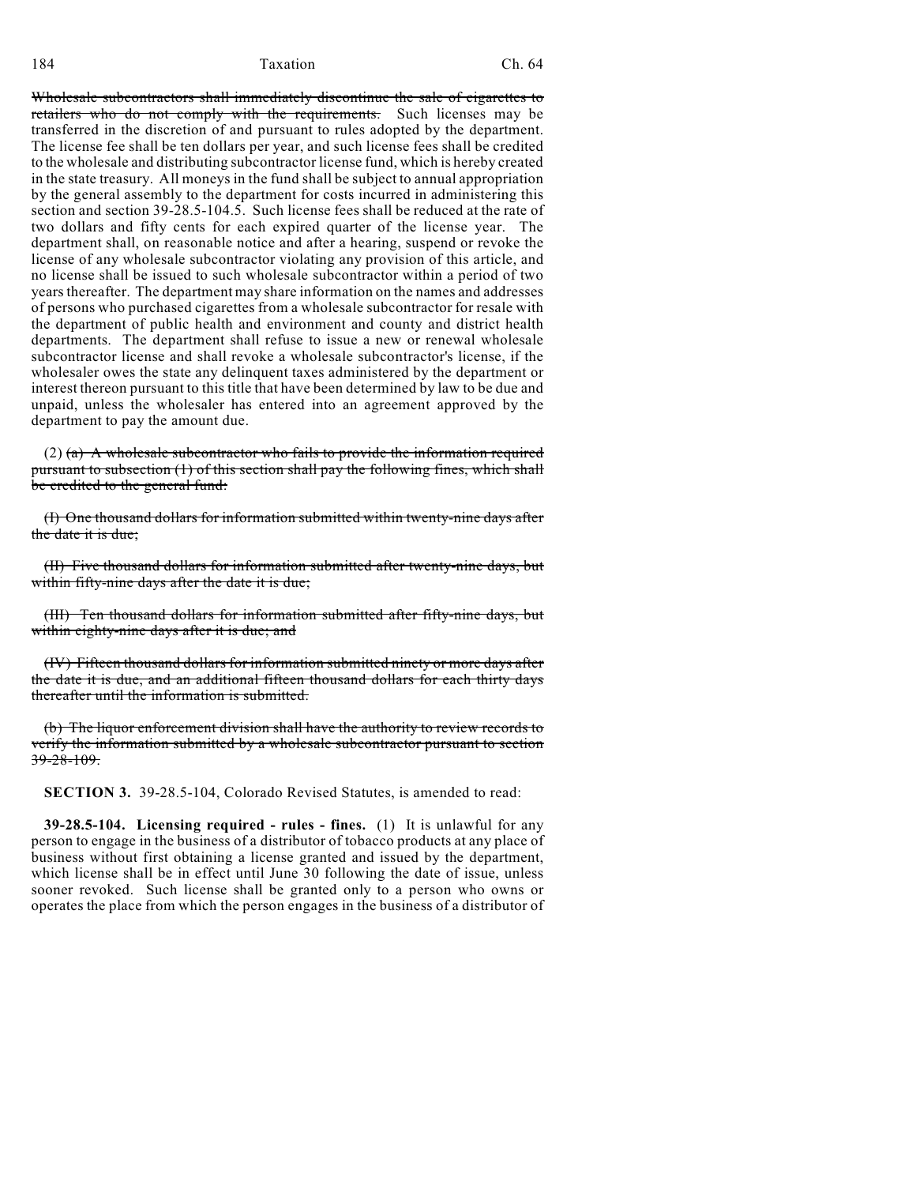184 Ch. 64

Wholesale subcontractors shall immediately discontinue the sale of cigarettes to retailers who do not comply with the requirements. Such licenses may be transferred in the discretion of and pursuant to rules adopted by the department. The license fee shall be ten dollars per year, and such license fees shall be credited to the wholesale and distributing subcontractor license fund, which is hereby created in the state treasury. All moneys in the fund shall be subject to annual appropriation by the general assembly to the department for costs incurred in administering this section and section 39-28.5-104.5. Such license fees shall be reduced at the rate of two dollars and fifty cents for each expired quarter of the license year. The department shall, on reasonable notice and after a hearing, suspend or revoke the license of any wholesale subcontractor violating any provision of this article, and no license shall be issued to such wholesale subcontractor within a period of two years thereafter. The department may share information on the names and addresses of persons who purchased cigarettes from a wholesale subcontractor for resale with the department of public health and environment and county and district health departments. The department shall refuse to issue a new or renewal wholesale subcontractor license and shall revoke a wholesale subcontractor's license, if the wholesaler owes the state any delinquent taxes administered by the department or interest thereon pursuant to this title that have been determined by law to be due and unpaid, unless the wholesaler has entered into an agreement approved by the department to pay the amount due.

(2)  $(a)$  A wholesale subcontractor who fails to provide the information required pursuant to subsection (1) of this section shall pay the following fines, which shall be credited to the general fund:

(I) One thousand dollars for information submitted within twenty-nine days after the date it is due;

(II) Five thousand dollars for information submitted after twenty-nine days, but within fifty-nine days after the date it is due;

(III) Ten thousand dollars for information submitted after fifty-nine days, but within eighty-nine days after it is due; and

(IV) Fifteen thousand dollars for information submitted ninety or more days after the date it is due, and an additional fifteen thousand dollars for each thirty days thereafter until the information is submitted.

(b) The liquor enforcement division shall have the authority to review records to verify the information submitted by a wholesale subcontractor pursuant to section  $39 - 28 - 109$ .

**SECTION 3.** 39-28.5-104, Colorado Revised Statutes, is amended to read:

**39-28.5-104. Licensing required - rules - fines.** (1) It is unlawful for any person to engage in the business of a distributor of tobacco products at any place of business without first obtaining a license granted and issued by the department, which license shall be in effect until June 30 following the date of issue, unless sooner revoked. Such license shall be granted only to a person who owns or operates the place from which the person engages in the business of a distributor of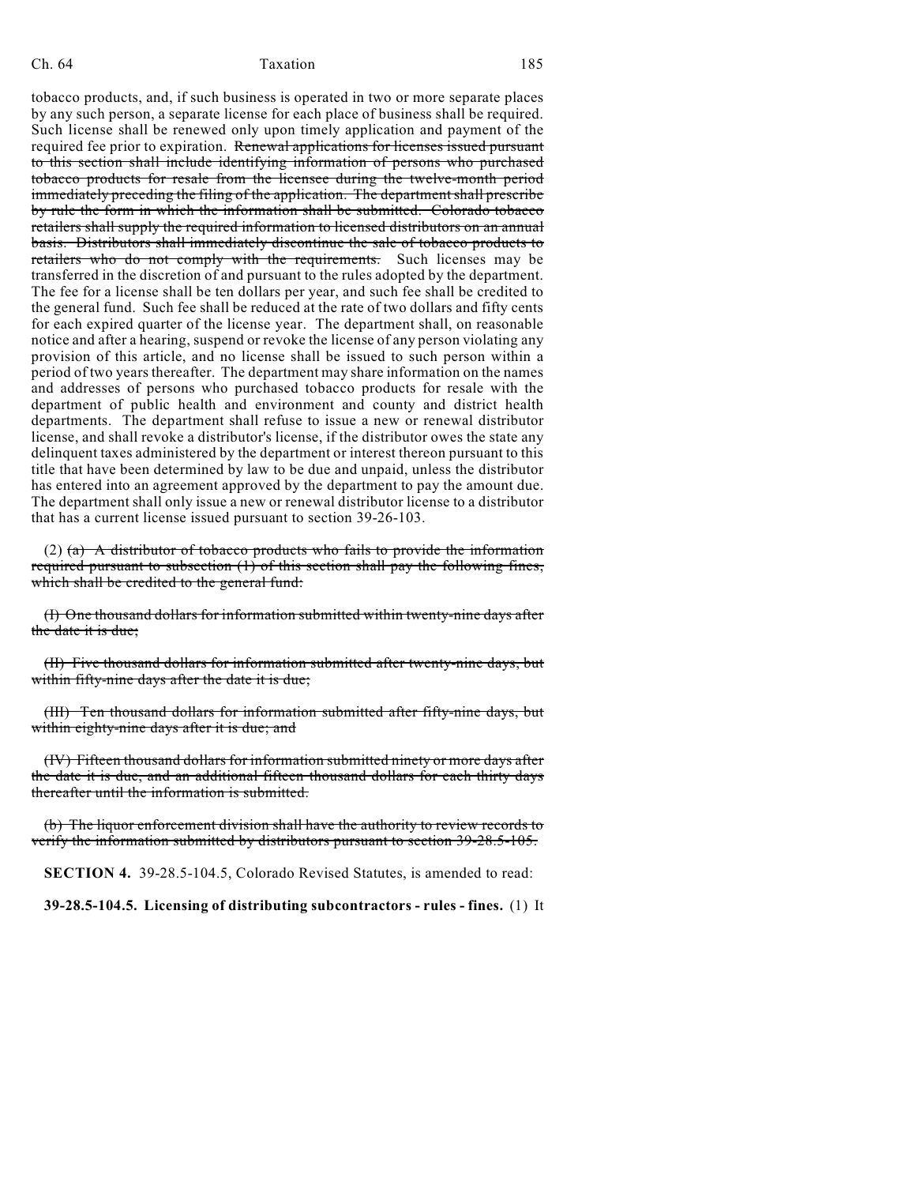#### Ch. 64 Taxation 185

tobacco products, and, if such business is operated in two or more separate places by any such person, a separate license for each place of business shall be required. Such license shall be renewed only upon timely application and payment of the required fee prior to expiration. Renewal applications for licenses issued pursuant to this section shall include identifying information of persons who purchased tobacco products for resale from the licensee during the twelve-month period immediately preceding the filing of the application. The department shall prescribe by rule the form in which the information shall be submitted. Colorado tobacco retailers shall supply the required information to licensed distributors on an annual basis. Distributors shall immediately discontinue the sale of tobacco products to retailers who do not comply with the requirements. Such licenses may be transferred in the discretion of and pursuant to the rules adopted by the department. The fee for a license shall be ten dollars per year, and such fee shall be credited to the general fund. Such fee shall be reduced at the rate of two dollars and fifty cents for each expired quarter of the license year. The department shall, on reasonable notice and after a hearing, suspend or revoke the license of any person violating any provision of this article, and no license shall be issued to such person within a period of two years thereafter. The department may share information on the names and addresses of persons who purchased tobacco products for resale with the department of public health and environment and county and district health departments. The department shall refuse to issue a new or renewal distributor license, and shall revoke a distributor's license, if the distributor owes the state any delinquent taxes administered by the department or interest thereon pursuant to this title that have been determined by law to be due and unpaid, unless the distributor has entered into an agreement approved by the department to pay the amount due. The department shall only issue a new or renewal distributor license to a distributor that has a current license issued pursuant to section 39-26-103.

(2)  $(a)$  A distributor of tobacco products who fails to provide the information required pursuant to subsection  $(1)$  of this section shall pay the following fines, which shall be credited to the general fund:

(I) One thousand dollars for information submitted within twenty-nine days after the date it is due;

(II) Five thousand dollars for information submitted after twenty-nine days, but within fifty-nine days after the date it is due;

(III) Ten thousand dollars for information submitted after fifty-nine days, but within eighty-nine days after it is due; and

(IV) Fifteen thousand dollars for information submitted ninety or more days after the date it is due, and an additional fifteen thousand dollars for each thirty days thereafter until the information is submitted.

(b) The liquor enforcement division shall have the authority to review records to verify the information submitted by distributors pursuant to section 39-28.5-105.

**SECTION 4.** 39-28.5-104.5, Colorado Revised Statutes, is amended to read:

**39-28.5-104.5. Licensing of distributing subcontractors - rules - fines.** (1) It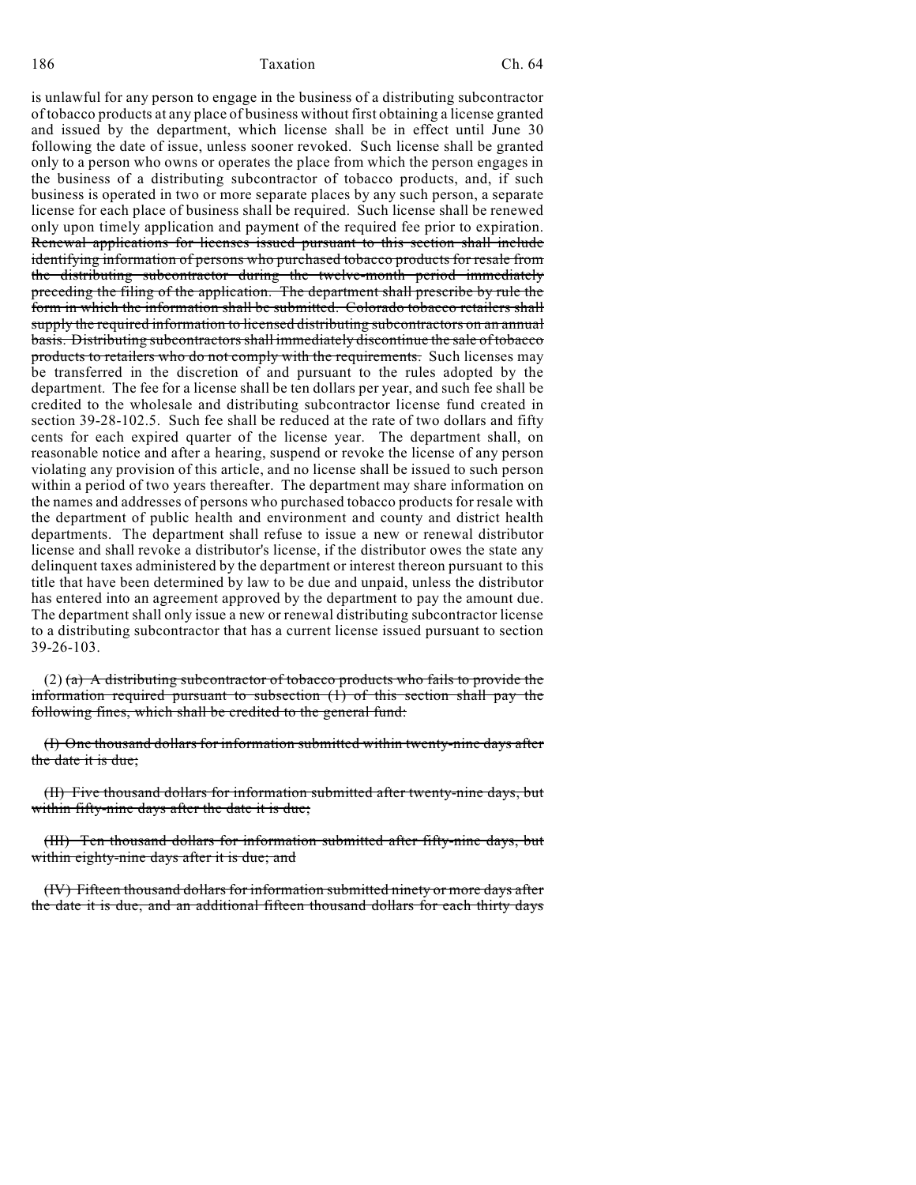186 Ch. 64

is unlawful for any person to engage in the business of a distributing subcontractor of tobacco products at any place of business without first obtaining a license granted and issued by the department, which license shall be in effect until June 30 following the date of issue, unless sooner revoked. Such license shall be granted only to a person who owns or operates the place from which the person engages in the business of a distributing subcontractor of tobacco products, and, if such business is operated in two or more separate places by any such person, a separate license for each place of business shall be required. Such license shall be renewed only upon timely application and payment of the required fee prior to expiration. Renewal applications for licenses issued pursuant to this section shall include identifying information of persons who purchased tobacco products for resale from the distributing subcontractor during the twelve-month period immediately preceding the filing of the application. The department shall prescribe by rule the form in which the information shall be submitted. Colorado tobacco retailers shall supply the required information to licensed distributing subcontractors on an annual basis. Distributing subcontractors shall immediately discontinue the sale of tobacco products to retailers who do not comply with the requirements. Such licenses may be transferred in the discretion of and pursuant to the rules adopted by the department. The fee for a license shall be ten dollars per year, and such fee shall be credited to the wholesale and distributing subcontractor license fund created in section 39-28-102.5. Such fee shall be reduced at the rate of two dollars and fifty cents for each expired quarter of the license year. The department shall, on reasonable notice and after a hearing, suspend or revoke the license of any person violating any provision of this article, and no license shall be issued to such person within a period of two years thereafter. The department may share information on the names and addresses of persons who purchased tobacco products for resale with the department of public health and environment and county and district health departments. The department shall refuse to issue a new or renewal distributor license and shall revoke a distributor's license, if the distributor owes the state any delinquent taxes administered by the department or interest thereon pursuant to this title that have been determined by law to be due and unpaid, unless the distributor has entered into an agreement approved by the department to pay the amount due. The department shall only issue a new or renewal distributing subcontractor license to a distributing subcontractor that has a current license issued pursuant to section 39-26-103.

 $(2)$  (a) A distributing subcontractor of tobacco products who fails to provide the information required pursuant to subsection (1) of this section shall pay the following fines, which shall be credited to the general fund:

(I) One thousand dollars for information submitted within twenty-nine days after the date it is due;

(II) Five thousand dollars for information submitted after twenty-nine days, but within fifty-nine days after the date it is due;

(III) Ten thousand dollars for information submitted after fifty-nine days, but within eighty-nine days after it is due; and

(IV) Fifteen thousand dollars for information submitted ninety or more days after the date it is due, and an additional fifteen thousand dollars for each thirty days